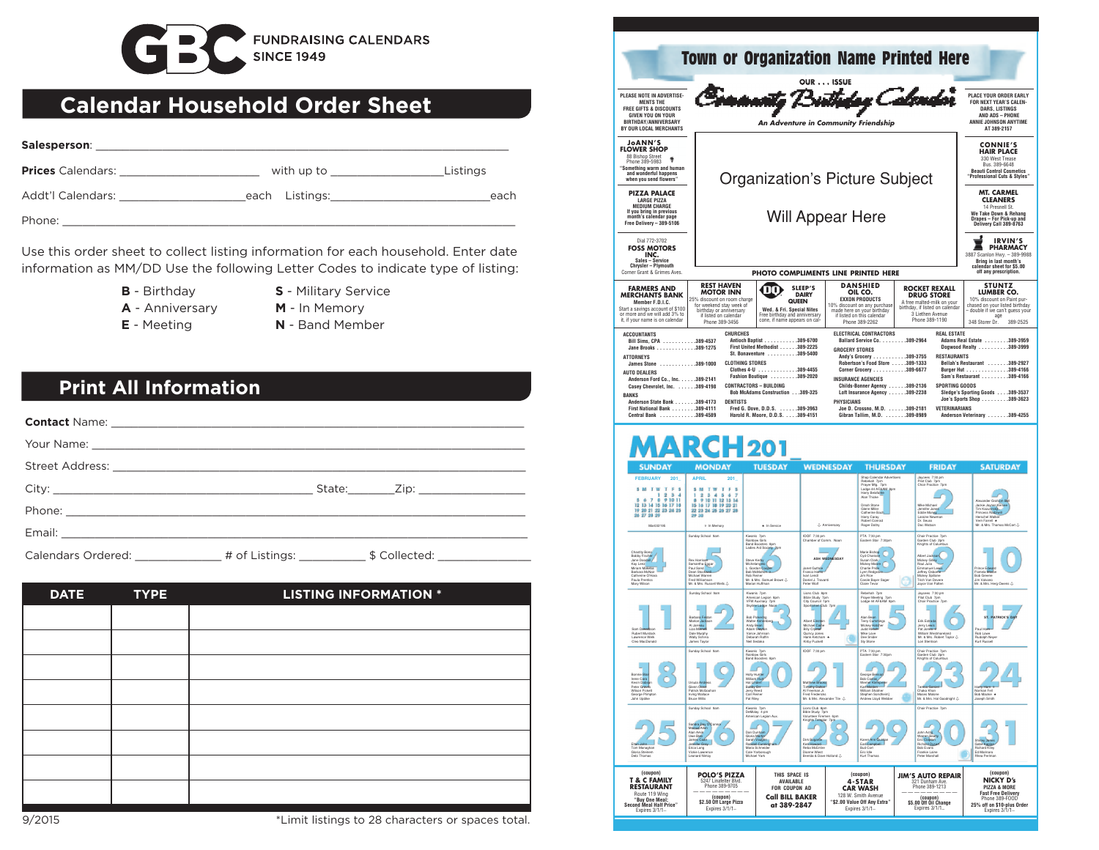

## **Calendar Household Order Sheet**

| Salesperson:             |                |          |
|--------------------------|----------------|----------|
| <b>Prices</b> Calendars: | with up to     | Listings |
| Addt'l Calendars:        | each Listings: | each     |
| Phone:                   |                |          |

Use this order sheet to collect listing information for each household. Enter date information as MM/DD Use the following Letter Codes to indicate type of listing:

- **B**  Birthday
- **S**  Military Service
- **A** Anniversary
	-
- **M** In Memory
- **E** Meeting
- **N** Band Member

## **Print All Information**

| <b>DATE</b> | <b>TYPE</b> | <b>LISTING INFORMATION *</b> |
|-------------|-------------|------------------------------|
|             |             |                              |
|             |             |                              |
|             |             |                              |
|             |             |                              |
|             |             |                              |
|             |             |                              |
|             |             |                              |
|             |             |                              |



9/2015 \*Limit listings to 28 characters or spaces total.